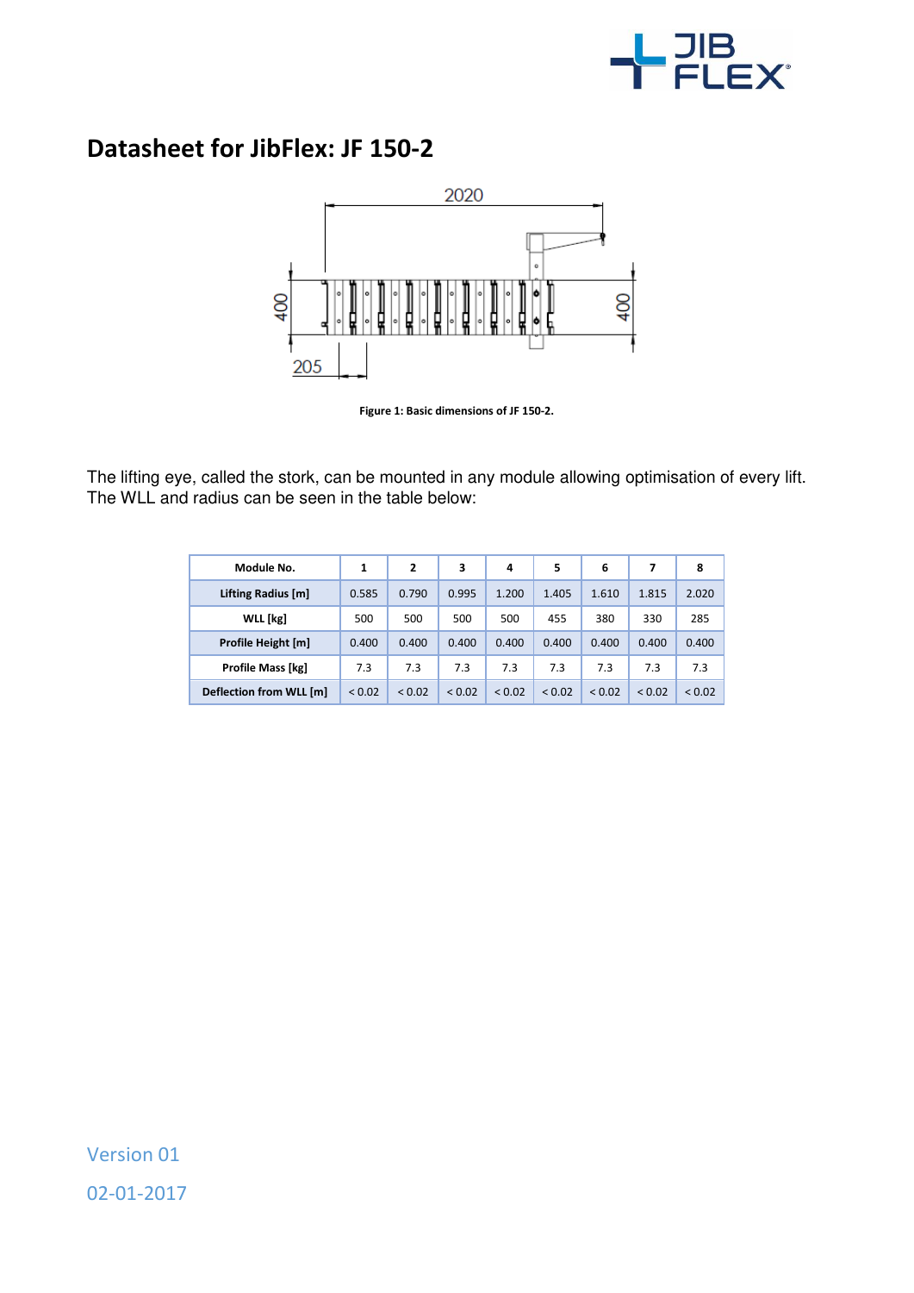

## **Datasheet for JibFlex: JF 150-2**



**Figure 1: Basic dimensions of JF 150-2.** 

The lifting eye, called the stork, can be mounted in any module allowing optimisation of every lift. The WLL and radius can be seen in the table below:

| Module No.              | 1      | 2      | 3      | 4      | 5      | 6           |             | 8      |
|-------------------------|--------|--------|--------|--------|--------|-------------|-------------|--------|
| Lifting Radius [m]      | 0.585  | 0.790  | 0.995  | 1.200  | 1.405  | 1.610       | 1.815       | 2.020  |
| WLL [kg]                | 500    | 500    | 500    | 500    | 455    | 380         | 330         | 285    |
| Profile Height [m]      | 0.400  | 0.400  | 0.400  | 0.400  | 0.400  | 0.400       | 0.400       | 0.400  |
| Profile Mass [kg]       | 7.3    | 7.3    | 7.3    | 7.3    | 7.3    | 7.3         | 7.3         | 7.3    |
| Deflection from WLL [m] | < 0.02 | < 0.02 | < 0.02 | < 0.02 | < 0.02 | ${}_{0.02}$ | ${}_{0.02}$ | < 0.02 |